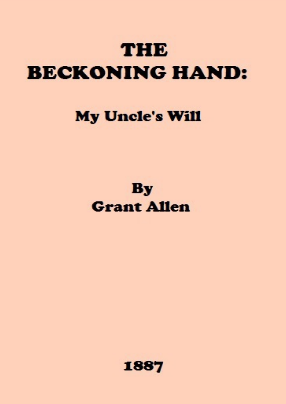# **THE BECKONING HAND:**

# **My Uncle's Will**

# **By Grant Allen**

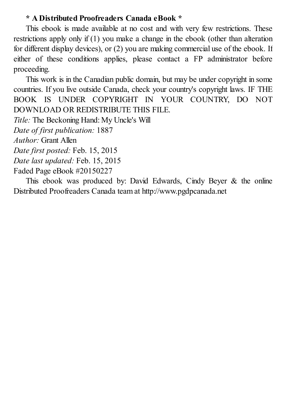## **\* A Distributed Proofreaders Canada eBook \***

This ebook is made available at no cost and with very few restrictions. These restrictions apply only if (1) you make a change in the ebook (other than alteration for different display devices), or (2) you are making commercial use of the ebook. If either of these conditions applies, please contact a FP administrator before proceeding.

This work is in the Canadian public domain, but may be under copyright in some countries. If you live outside Canada, check your country's copyright laws. IF THE BOOK IS UNDER COPYRIGHT IN YOUR COUNTRY, DO NOT DOWNLOAD OR REDISTRIBUTE THIS FILE.

*Title:* The Beckoning Hand: My Uncle's Will

*Date of first publication:* 1887

*Author:* Grant Allen

```
Date first posted: Feb. 15, 2015
```

```
Date last updated: Feb. 15, 2015
```
Faded Page eBook #20150227

This ebook was produced by: David Edwards, Cindy Beyer & the online Distributed Proofreaders Canada team at http://www.pgdpcanada.net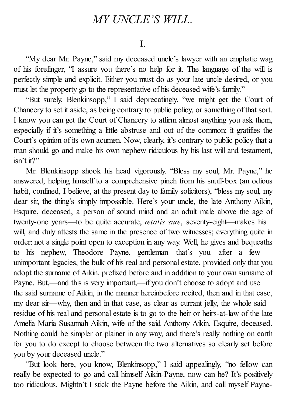# *MY UNCLE'S WILL.*

#### I.

"My dear Mr. Payne," said my deceased uncle's lawyer with an emphatic wag of his forefinger, "I assure you there's no help for it. The language of the will is perfectly simple and explicit. Either you must do as your late uncle desired, or you must let the property go to the representative of his deceased wife's family."

"But surely, Blenkinsopp," I said deprecatingly, "we might get the Court of Chancery to set it aside, as being contrary to public policy, or something of that sort. I know you can get the Court of Chancery to affirm almost anything you ask them, especially if it's something a little abstruse and out of the common; it gratifies the Court's opinion of its own acumen. Now, clearly, it's contrary to public policy that a man should go and make his own nephew ridiculous by his last will and testament, isn't it?"

Mr. Blenkinsopp shook his head vigorously. "Bless my soul, Mr. Payne," he answered, helping himself to a comprehensive pinch from his snuff-box (an odious habit, confined, I believe, at the present day to family solicitors), "bless my soul, my dear sir, the thing's simply impossible. Here's your uncle, the late Anthony Aikin, Esquire, deceased, a person of sound mind and an adult male above the age of twenty-one years—to be quite accurate, *ætatis suæ*, seventy-eight—makes his will, and duly attests the same in the presence of two witnesses; everything quite in order: not a single point open to exception in any way. Well, he gives and bequeaths to his nephew, Theodore Payne, gentleman—that's you—after a few unimportant legacies, the bulk of his real and personal estate, provided only that you adopt the surname of Aikin, prefixed before and in addition to your own surname of Payne. But,—and this is very important,—if you don't choose to adopt and use the said surname of Aikin, in the manner hereinbefore recited, then and in that case, my dear sir—why, then and in that case, as clear as currant jelly, the whole said residue of his real and personal estate is to go to the heir or heirs-at-law of the late Amelia Maria Susannah Aikin, wife of the said Anthony Aikin, Esquire, deceased. Nothing could be simpler or plainer in any way, and there's really nothing on earth for you to do except to choose between the two alternatives so clearly set before you by your deceased uncle."

"But look here, you know, Blenkinsopp," I said appealingly, "no fellow can really be expected to go and call himself Aikin-Payne, now can he? It's positively too ridiculous. Mightn't I stick the Payne before the Aikin, and call myself Payne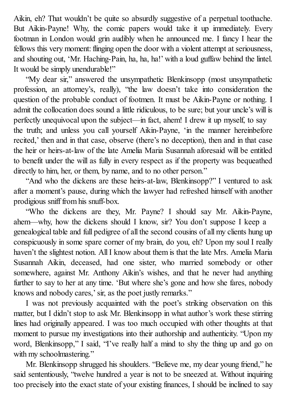Aikin, eh? That wouldn't be quite so absurdly suggestive of a perpetual toothache. But Aikin-Payne! Why, the comic papers would take it up immediately. Every footman in London would grin audibly when he announced me. I fancy I hear the fellows this very moment: flinging open the door with a violent attempt at seriousness, and shouting out, 'Mr. Haching-Pain, ha, ha, ha!' with a loud guffaw behind the lintel. It would be simply unendurable!"

"My dear sir," answered the unsympathetic Blenkinsopp (most unsympathetic profession, an attorney's, really), "the law doesn't take into consideration the question of the probable conduct of footmen. It must be Aikin-Payne or nothing. I admit the collocation does sound a little ridiculous, to be sure; but your uncle's will is perfectly unequivocal upon the subject—in fact, ahem! I drew it up myself, to say the truth; and unless you call yourself Aikin-Payne, 'in the manner hereinbefore recited,' then and in that case, observe (there's no deception), then and in that case the heir or heirs-at-law of the late Amelia Maria Susannah aforesaid will be entitled to benefit under the will as fully in every respect as if the property was bequeathed directly to him, her, or them, by name, and to no other person."

"And who the dickens are these heirs-at-law, Blenkinsopp?" I ventured to ask after a moment's pause, during which the lawyer had refreshed himself with another prodigious sniff from his snuff-box.

"Who the dickens are they, Mr. Payne? I should say Mr. Aikin-Payne, ahem—why, how the dickens should I know, sir? You don't suppose I keep a genealogical table and full pedigree of all the second cousins of all my clients hung up conspicuously in some spare corner of my brain, do you, eh? Upon my soul I really haven't the slightest notion. All I know about them is that the late Mrs. Amelia Maria Susannah Aikin, deceased, had one sister, who married somebody or other somewhere, against Mr. Anthony Aikin's wishes, and that he never had anything further to say to her at any time. 'But where she's gone and how she fares, nobody knows and nobody cares,' sir, as the poet justly remarks."

I was not previously acquainted with the poet's striking observation on this matter, but I didn't stop to ask Mr. Blenkinsopp in what author's work these stirring lines had originally appeared. I was too much occupied with other thoughts at that moment to pursue my investigations into their authorship and authenticity. "Upon my word, Blenkinsopp," I said, "I've really half a mind to shy the thing up and go on with my schoolmastering."

Mr. Blenkinsopp shrugged his shoulders. "Believe me, my dear young friend," he said sententiously, "twelve hundred a year is not to be sneezed at. Without inquiring too precisely into the exact state of your existing finances, I should be inclined to say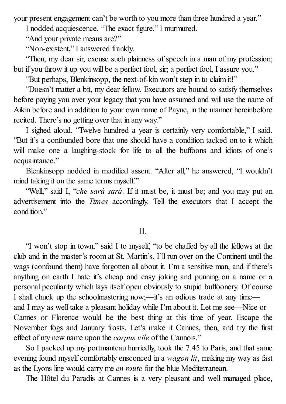your present engagement can't be worth to you more than three hundred a year."

I nodded acquiescence. "The exact figure," I murmured.

"And your private means are?"

"Non-existent," I answered frankly.

"Then, my dear sir, excuse such plainness of speech in a man of my profession; but if you throw it up you will be a perfect fool, sir; a perfect fool, I assure you."

"But perhaps, Blenkinsopp, the next-of-kin won't step in to claim it!"

"Doesn't matter a bit, my dear fellow. Executors are bound to satisfy themselves before paying you over your legacy that you have assumed and will use the name of Aikin before and in addition to your own name of Payne, in the manner hereinbefore recited. There's no getting over that in any way."

I sighed aloud. "Twelve hundred a year is certainly very comfortable," I said. "But it's a confounded bore that one should have a condition tacked on to it which will make one a laughing-stock for life to all the buffoons and idiots of one's acquaintance."

Blenkinsopp nodded in modified assent. "After all," he answered, "I wouldn't mind taking it on the same terms myself."

"Well," said I, "*che sarà sarà*. If it must be, it must be; and you may put an advertisement into the *Times* accordingly. Tell the executors that I accept the condition."

### $II$ .

"I won't stop in town," said I to myself, "to be chaffed by all the fellows at the club and in the master's room at St. Martin's. I'll run over on the Continent until the wags (confound them) have forgotten all about it. I'm a sensitive man, and if there's anything on earth I hate it's cheap and easy joking and punning on a name or a personal peculiarity which lays itself open obviously to stupid buffoonery. Of course I shall chuck up the schoolmastering now;—it's an odious trade at any time and I may as well take a pleasant holiday while I'm about it. Let me see—Nice or Cannes or Florence would be the best thing at this time of year. Escape the November fogs and January frosts. Let's make it Cannes, then, and try the first effect of my new name upon the *corpus vile* of the Cannois."

So I packed up my portmanteau hurriedly, took the 7.45 to Paris, and that same evening found myself comfortably ensconced in a *wagon lit*, making my way as fast as the Lyons line would carry me *en route* for the blue Mediterranean.

The Hôtel du Paradis at Cannes is a very pleasant and well managed place,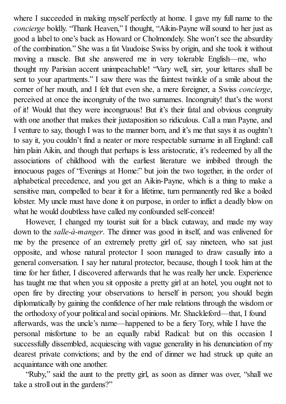where I succeeded in making myself perfectly at home. I gave my full name to the *concierge* boldly. "Thank Heaven," I thought, "Aikin-Payne will sound to her just as good a label to one's back as Howard or Cholmondely. She won't see the absurdity of the combination." She was a fat Vaudoise Swiss by origin, and she took it without moving a muscle. But she answered me in very tolerable English—me, who thought my Parisian accent unimpeachable! "Vary well, sirr, your lettares shall be sent to your apartments." I saw there was the faintest twinkle of a smile about the corner of her mouth, and I felt that even she, a mere foreigner, a Swiss *concierge*, perceived at once the incongruity of the two surnames. Incongruity! that's the worst of it! Would that they were incongruous! But it's their fatal and obvious congruity with one another that makes their juxtaposition so ridiculous. Call a man Payne, and I venture to say, though I was to the manner born, and it's me that says it as oughtn't to say it, you couldn't find a neater or more respectable surname in all England: call him plain Aikin, and though that perhaps is less aristocratic, it's redeemed by all the associations of childhood with the earliest literature we imbibed through the innocuous pages of "Evenings at Home:" but join the two together, in the order of alphabetical precedence, and you get an Aikin-Payne, which is a thing to make a sensitive man, compelled to bear it for a lifetime, turn permanently red like a boiled lobster. My uncle must have done it on purpose, in order to inflict a deadly blow on what he would doubtless have called my confounded self-conceit!

However, I changed my tourist suit for a black cutaway, and made my way down to the *salle-à-manger*. The dinner was good in itself, and was enlivened for me by the presence of an extremely pretty girl of, say nineteen, who sat just opposite, and whose natural protector I soon managed to draw casually into a general conversation. I say her natural protector, because, though I took him at the time for her father, I discovered afterwards that he was really her uncle. Experience has taught me that when you sit opposite a pretty girl at an hotel, you ought not to open fire by directing your observations to herself in person; you should begin diplomatically by gaining the confidence of her male relations through the wisdom or the orthodoxy of your political and social opinions. Mr. Shackleford—that, I found afterwards, was the uncle's name—happened to be a fiery Tory, while I have the personal misfortune to be an equally rabid Radical: but on this occasion I successfully dissembled, acquiescing with vague generality in his denunciation of my dearest private convictions; and by the end of dinner we had struck up quite an acquaintance with one another.

"Ruby," said the aunt to the pretty girl, as soon as dinner was over, "shall we take a stroll out in the gardens?"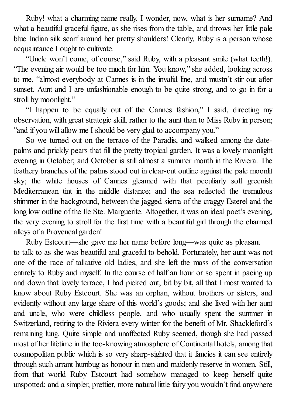Ruby! what a charming name really. I wonder, now, what is her surname? And what a beautiful graceful figure, as she rises from the table, and throws her little pale blue Indian silk scarf around her pretty shoulders! Clearly, Ruby is a person whose acquaintance I ought to cultivate.

"Uncle won't come, of course," said Ruby, with a pleasant smile (what teeth!). "The evening air would be too much for him. You know," she added, looking across to me, "almost everybody at Cannes is in the invalid line, and mustn't stir out after sunset. Aunt and I are unfashionable enough to be quite strong, and to go in for a stroll by moonlight."

"I happen to be equally out of the Cannes fashion," I said, directing my observation, with great strategic skill, rather to the aunt than to Miss Ruby in person; "and if you will allow me I should be very glad to accompany you."

So we turned out on the terrace of the Paradis, and walked among the datepalms and prickly pears that fill the pretty tropical garden. It was a lovely moonlight evening in October; and October is still almost a summer month in the Riviera. The feathery branches of the palms stood out in clear-cut outline against the pale moonlit sky; the white houses of Cannes gleamed with that peculiarly soft greenish Mediterranean tint in the middle distance; and the sea reflected the tremulous shimmer in the background, between the jagged sierra of the craggy Esterel and the long low outline of the Ile Ste. Marguerite. Altogether, it was an ideal poet's evening, the very evening to stroll for the first time with a beautiful girl through the charmed alleys of a Provençal garden!

Ruby Estcourt—she gave me her name before long—was quite as pleasant to talk to as she was beautiful and graceful to behold. Fortunately, her aunt was not one of the race of talkative old ladies, and she left the mass of the conversation entirely to Ruby and myself. In the course of half an hour or so spent in pacing up and down that lovely terrace, I had picked out, bit by bit, all that I most wanted to know about Ruby Estcourt. She was an orphan, without brothers or sisters, and evidently without any large share of this world's goods; and she lived with her aunt and uncle, who were childless people, and who usually spent the summer in Switzerland, retiring to the Riviera every winter for the benefit of Mr. Shackleford's remaining lung. Quite simple and unaffected Ruby seemed, though she had passed most of her lifetime in the too-knowing atmosphere of Continental hotels, among that cosmopolitan public which is so very sharp-sighted that it fancies it can see entirely through such arrant humbug as honour in men and maidenly reserve in women. Still, from that world Ruby Estcourt had somehow managed to keep herself quite unspotted; and a simpler, prettier, more natural little fairy you wouldn't find anywhere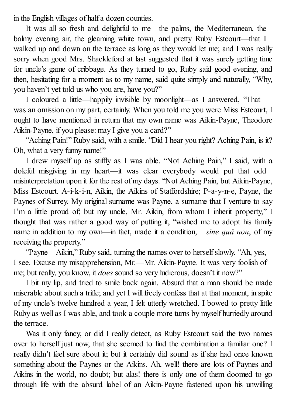in the English villages of half a dozen counties.

It was all so fresh and delightful to me—the palms, the Mediterranean, the balmy evening air, the gleaming white town, and pretty Ruby Estcourt—that I walked up and down on the terrace as long as they would let me; and I was really sorry when good Mrs. Shackleford at last suggested that it was surely getting time for uncle's game of cribbage. As they turned to go, Ruby said good evening, and then, hesitating for a moment as to my name, said quite simply and naturally, "Why, you haven't yet told us who you are, have you?"

I coloured a little—happily invisible by moonlight—as I answered, "That was an omission on my part, certainly. When you told me you were Miss Estcourt, I ought to have mentioned in return that my own name was Aikin-Payne, Theodore Aikin-Payne, if you please: may I give you a card?"

"Aching Pain!" Ruby said, with a smile. "Did I hear you right? Aching Pain, is it? Oh, what a very funny name!"

I drew myself up as stiffly as I was able. "Not Aching Pain," I said, with a doleful misgiving in my heart—it was clear everybody would put that odd misinterpretation upon it for the rest of my days. "Not Aching Pain, but Aikin-Payne, Miss Estcourt. A-i-k-i-n, Aikin, the Aikins of Staffordshire; P-a-y-n-e, Payne, the Paynes of Surrey. My original surname was Payne, a surname that I venture to say I'm a little proud of; but my uncle, Mr. Aikin, from whom I inherit property," I thought that was rather a good way of putting it, "wished me to adopt his family name in addition to my own—in fact, made it a condition, *sine quâ non*, of my receiving the property."

"Payne—Aikin," Ruby said, turning the names over to herselfslowly. "Ah, yes, I see. Excuse my misapprehension, Mr.—Mr. Aikin-Payne. It was very foolish of me; but really, you know, it *does* sound so very ludicrous, doesn't it now?"

I bit my lip, and tried to smile back again. Absurd that a man should be made miserable about such a trifle; and yet I willfreely confess that at that moment, in spite of my uncle's twelve hundred a year, I felt utterly wretched. I bowed to pretty little Ruby as well as I was able, and took a couple more turns by myself hurriedly around the terrace.

Was it only fancy, or did I really detect, as Ruby Estcourt said the two names over to herself just now, that she seemed to find the combination a familiar one? I really didn't feel sure about it; but it certainly did sound as if she had once known something about the Paynes or the Aikins. Ah, well! there are lots of Paynes and Aikins in the world, no doubt; but alas! there is only one of them doomed to go through life with the absurd label of an Aikin-Payne fastened upon his unwilling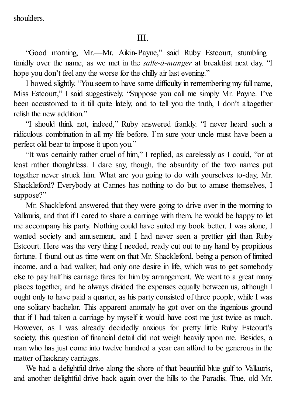shoulders.

"Good morning, Mr.—Mr. Aikin-Payne," said Ruby Estcourt, stumbling timidly over the name, as we met in the *salle-à-manger* at breakfast next day. "I hope you don't feel any the worse for the chilly air last evening."

I bowed slightly. "You seem to have some difficulty in remembering my full name, Miss Estcourt," I said suggestively. "Suppose you call me simply Mr. Payne. I've been accustomed to it till quite lately, and to tell you the truth, I don't altogether relish the new addition."

"I should think not, indeed," Ruby answered frankly. "I never heard such a ridiculous combination in all my life before. I'm sure your uncle must have been a perfect old bear to impose it upon you."

"It was certainly rather cruel of him," I replied, as carelessly as I could, "or at least rather thoughtless. I dare say, though, the absurdity of the two names put together never struck him. What are you going to do with yourselves to-day, Mr. Shackleford? Everybody at Cannes has nothing to do but to amuse themselves, I suppose?"

Mr. Shackleford answered that they were going to drive over in the morning to Vallauris, and that if I cared to share a carriage with them, he would be happy to let me accompany his party. Nothing could have suited my book better. I was alone, I wanted society and amusement, and I had never seen a prettier girl than Ruby Estcourt. Here was the very thing I needed, ready cut out to my hand by propitious fortune. I found out as time went on that Mr. Shackleford, being a person of limited income, and a bad walker, had only one desire in life, which was to get somebody else to pay half his carriage fares for him by arrangement. We went to a great many places together, and he always divided the expenses equally between us, although I ought only to have paid a quarter, as his party consisted of three people, while I was one solitary bachelor. This apparent anomaly he got over on the ingenious ground that if I had taken a carriage by myself it would have cost me just twice as much. However, as I was already decidedly anxious for pretty little Ruby Estcourt's society, this question of financial detail did not weigh heavily upon me. Besides, a man who has just come into twelve hundred a year can afford to be generous in the matter of hackney carriages.

We had a delightful drive along the shore of that beautiful blue gulf to Vallauris, and another delightful drive back again over the hills to the Paradis. True, old Mr.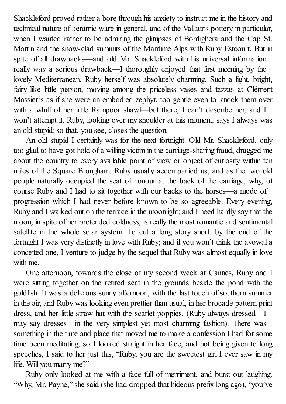Shackleford proved rather a bore through his anxiety to instruct me in the history and technical nature of keramic ware in general, and of the Vallauris pottery in particular, when I wanted rather to be admiring the glimpses of Bordighera and the Cap St. Martin and the snow-clad summits of the Maritime Alps with Ruby Estcourt. But in spite of all drawbacks—and old Mr. Shackleford with his universal information really *was* a serious drawback—I thoroughly enjoyed that first morning by the lovely Mediterranean. Ruby herself was absolutely charming. Such a light, bright, fairy-like little person, moving among the priceless vases and tazzas at Clément Massier's as if she were an embodied zephyr, too gentle even to knock them over with a whiff of her little Rampoor shawl—but there, I can't describe her, and I won't attempt it. Ruby, looking over my shoulder at this moment, says I always was an old stupid: so that, you see, closes the question.

An old stupid I certainly was for the next fortnight. Old Mr. Shackleford, only too glad to have got hold of a willing victim in the carriage-sharing fraud, dragged me about the country to every available point of view or object of curiosity within ten miles of the Square Brougham. Ruby usually accompanied us; and as the two old people naturally occupied the seat of honour at the back of the carriage, why, of course Ruby and I had to sit together with our backs to the horses—a mode of progression which I had never before known to be so agreeable. Every evening, Ruby and I walked out on the terrace in the moonlight; and I need hardly say that the moon, in spite of her pretended coldness, is really the most romantic and sentimental satellite in the whole solar system. To cut a long story short, by the end of the fortnight I was very distinctly in love with Ruby; and if you won't think the avowal a conceited one, I venture to judge by the sequel that Ruby was almost equally in love with me.

One afternoon, towards the close of my second week at Cannes, Ruby and I were sitting together on the retired seat in the grounds beside the pond with the goldfish. It was a delicious sunny afternoon, with the last touch of southern summer in the air, and Ruby was looking even prettier than usual, in her brocade pattern print dress, and her little straw hat with the scarlet poppies. (Ruby always dressed—I may say dresses—in the very simplest yet most charming fashion). There was something in the time and place that moved me to make a confession I had for some time been meditating; so I looked straight in her face, and not being given to long speeches, I said to her just this, "Ruby, you are the sweetest girl I ever saw in my life. Will you marry me?"

Ruby only looked at me with a face full of merriment, and burst out laughing. "Why, Mr. Payne," she said (she had dropped that hideous prefix long ago), "you've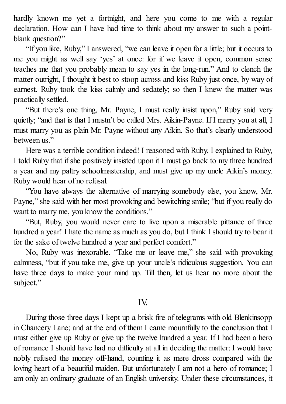hardly known me yet a fortnight, and here you come to me with a regular declaration. How can I have had time to think about my answer to such a pointblank question?"

"If you like, Ruby," I answered, "we can leave it open for a little; but it occurs to me you might as well say 'yes' at once: for if we leave it open, common sense teaches me that you probably mean to say yes in the long-run." And to clench the matter outright, I thought it best to stoop across and kiss Ruby just once, by way of earnest. Ruby took the kiss calmly and sedately; so then I knew the matter was practically settled.

"But there's one thing, Mr. Payne, I must really insist upon," Ruby said very quietly; "and that is that I mustn't be called Mrs. Aikin-Payne. If I marry you at all, I must marry you as plain Mr. Payne without any Aikin. So that's clearly understood between us."

Here was a terrible condition indeed! I reasoned with Ruby, I explained to Ruby, I told Ruby that ifshe positively insisted upon it I must go back to my three hundred a year and my paltry schoolmastership, and must give up my uncle Aikin's money. Ruby would hear of no refusal.

"You have always the alternative of marrying somebody else, you know, Mr. Payne," she said with her most provoking and bewitching smile; "but if you really do want to marry me, you know the conditions."

"But, Ruby, you would never care to live upon a miserable pittance of three hundred a year! I hate the name as much as you do, but I think I should try to bear it for the sake of twelve hundred a year and perfect comfort."

No, Ruby was inexorable. "Take me or leave me," she said with provoking calmness, "but if you take me, give up your uncle's ridiculous suggestion. You can have three days to make your mind up. Till then, let us hear no more about the subject."

### IV.

During those three days I kept up a brisk fire of telegrams with old Blenkinsopp in Chancery Lane; and at the end of them I came mournfully to the conclusion that I must either give up Ruby or give up the twelve hundred a year. If I had been a hero of romance I should have had no difficulty at all in deciding the matter: I would have nobly refused the money off-hand, counting it as mere dross compared with the loving heart of a beautiful maiden. But unfortunately I am not a hero of romance; I am only an ordinary graduate of an English university. Under these circumstances, it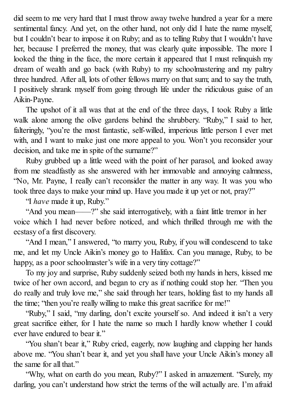did seem to me very hard that I must throw away twelve hundred a year for a mere sentimental fancy. And yet, on the other hand, not only did I hate the name myself, but I couldn't bear to impose it on Ruby; and as to telling Ruby that I wouldn't have her, because I preferred the money, that was clearly quite impossible. The more I looked the thing in the face, the more certain it appeared that I must relinquish my dream of wealth and go back (with Ruby) to my schoolmastering and my paltry three hundred. After all, lots of other fellows marry on that sum; and to say the truth, I positively shrank myself from going through life under the ridiculous guise of an Aikin-Payne.

The upshot of it all was that at the end of the three days, I took Ruby a little walk alone among the olive gardens behind the shrubbery. "Ruby," I said to her, falteringly, "you're the most fantastic, self-willed, imperious little person I ever met with, and I want to make just one more appeal to you. Won't you reconsider your decision, and take me in spite of the surname?"

Ruby grubbed up a little weed with the point of her parasol, and looked away from me steadfastly as she answered with her immovable and annoying calmness, "No, Mr. Payne, I really can't reconsider the matter in any way. It was you who took three days to make your mind up. Have you made it up yet or not, pray?"

"I *have* made it up, Ruby."

"And you mean——?" she said interrogatively, with a faint little tremor in her voice which I had never before noticed, and which thrilled through me with the ecstasy of a first discovery.

"And I mean," I answered, "to marry you, Ruby, if you will condescend to take me, and let my Uncle Aikin's money go to Halifax. Can you manage, Ruby, to be happy, as a poor schoolmaster's wife in a very tiny cottage?"

To my joy and surprise, Ruby suddenly seized both my hands in hers, kissed me twice of her own accord, and began to cry as if nothing could stop her. "Then you do really and truly love me," she said through her tears, holding fast to my hands all the time; "then you're really willing to make this great sacrifice for me!"

"Ruby," I said, "my darling, don't excite yourself so. And indeed it isn't a very great sacrifice either, for I hate the name so much I hardly know whether I could ever have endured to bear it."

"You shan't bear it," Ruby cried, eagerly, now laughing and clapping her hands above me. "You shan't bear it, and yet you shall have your Uncle Aikin's money all the same for all that."

"Why, what on earth do you mean, Ruby?" I asked in amazement. "Surely, my darling, you can't understand how strict the terms of the will actually are. I'm afraid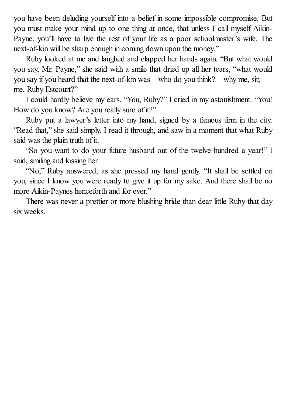you have been deluding yourself into a belief in some impossible compromise. But you must make your mind up to one thing at once, that unless I call myself Aikin-Payne, you'll have to live the rest of your life as a poor schoolmaster's wife. The next-of-kin will be sharp enough in coming down upon the money."

Ruby looked at me and laughed and clapped her hands again. "But what would you say, Mr. Payne," she said with a smile that dried up all her tears, "what would you say if you heard that the next-of-kin was—who do you think?—why me, sir, me, Ruby Estcourt?"

I could hardly believe my ears. "You, Ruby?" I cried in my astonishment. "You! How do you know? Are you really sure of it?"

Ruby put a lawyer's letter into my hand, signed by a famous firm in the city. "Read that," she said simply. I read it through, and saw in a moment that what Ruby said was the plain truth of it.

"So you want to do your future husband out of the twelve hundred a year!" I said, smiling and kissing her.

"No," Ruby answered, as she pressed my hand gently. "It shall be settled on you, since I know you were ready to give it up for my sake. And there shall be no more Aikin-Paynes henceforth and for ever."

There was never a prettier or more blushing bride than dear little Ruby that day six weeks.